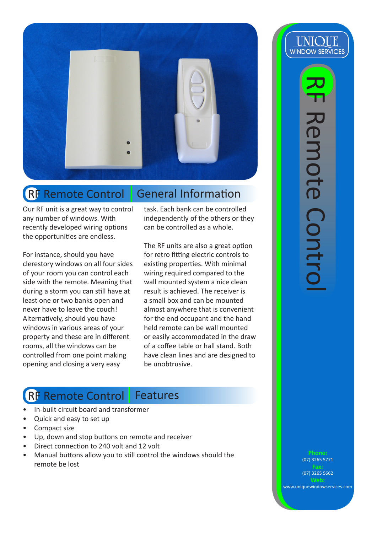

## RF Remote Control General Information

Our RF unit is a great way to control any number of windows. With recently developed wiring options the opportunities are endless.

For instance, should you have clerestory windows on all four sides of your room you can control each side with the remote. Meaning that during a storm you can still have at least one or two banks open and never have to leave the couch! Alternatively, should you have windows in various areas of your property and these are in different rooms, all the windows can be controlled from one point making opening and closing a very easy

task. Each bank can be controlled independently of the others or they can be controlled as a whole.

The RF units are also a great option for retro fitting electric controls to existing properties. With minimal wiring required compared to the wall mounted system a nice clean result is achieved. The receiver is a small box and can be mounted almost anywhere that is convenient for the end occupant and the hand held remote can be wall mounted or easily accommodated in the draw of a coffee table or hall stand. Both have clean lines and are designed to be unobtrusive.

## RF Remote Control Features

- In-built circuit board and transformer
- Quick and easy to set up
- Compact size
- Up, down and stop buttons on remote and receiver
- Direct connection to 240 volt and 12 volt
- Manual buttons allow you to still control the windows should the remote be lost



(07) 3265 5771

(07) 3265 5662